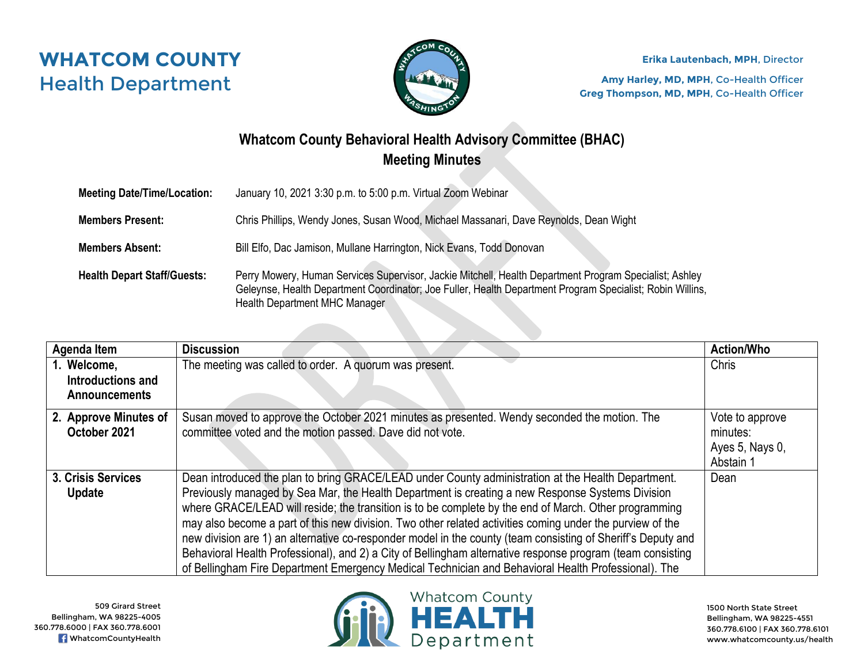



**Erika Lautenbach, MPH**, Director

**Amy Harley, MD, MPH**, Co-Health Officer **Greg Thompson, MD, MPH**, Co-Health Officer

## **Whatcom County Behavioral Health Advisory Committee (BHAC) Meeting Minutes**

| <b>Meeting Date/Time/Location:</b> | January 10, 2021 3:30 p.m. to 5:00 p.m. Virtual Zoom Webinar                                                                                                                                                                                                |
|------------------------------------|-------------------------------------------------------------------------------------------------------------------------------------------------------------------------------------------------------------------------------------------------------------|
| <b>Members Present:</b>            | Chris Phillips, Wendy Jones, Susan Wood, Michael Massanari, Dave Reynolds, Dean Wight                                                                                                                                                                       |
| <b>Members Absent:</b>             | Bill Elfo, Dac Jamison, Mullane Harrington, Nick Evans, Todd Donovan                                                                                                                                                                                        |
| <b>Health Depart Staff/Guests:</b> | Perry Mowery, Human Services Supervisor, Jackie Mitchell, Health Department Program Specialist; Ashley<br>Geleynse, Health Department Coordinator; Joe Fuller, Health Department Program Specialist; Robin Willins,<br><b>Health Department MHC Manager</b> |

| Agenda Item                      | <b>Discussion</b>                                                                                            | <b>Action/Who</b> |
|----------------------------------|--------------------------------------------------------------------------------------------------------------|-------------------|
| 1. Welcome,<br>Introductions and | The meeting was called to order. A quorum was present.                                                       | Chris             |
| <b>Announcements</b>             |                                                                                                              |                   |
| 2. Approve Minutes of            | Susan moved to approve the October 2021 minutes as presented. Wendy seconded the motion. The                 | Vote to approve   |
| October 2021                     | committee voted and the motion passed. Dave did not vote.                                                    | minutes:          |
|                                  |                                                                                                              | Ayes 5, Nays 0,   |
|                                  |                                                                                                              | Abstain 1         |
| 3. Crisis Services               | Dean introduced the plan to bring GRACE/LEAD under County administration at the Health Department.           | Dean              |
| Update                           | Previously managed by Sea Mar, the Health Department is creating a new Response Systems Division             |                   |
|                                  | where GRACE/LEAD will reside; the transition is to be complete by the end of March. Other programming        |                   |
|                                  | may also become a part of this new division. Two other related activities coming under the purview of the    |                   |
|                                  | new division are 1) an alternative co-responder model in the county (team consisting of Sheriff's Deputy and |                   |
|                                  | Behavioral Health Professional), and 2) a City of Bellingham alternative response program (team consisting   |                   |
|                                  | of Bellingham Fire Department Emergency Medical Technician and Behavioral Health Professional). The          |                   |